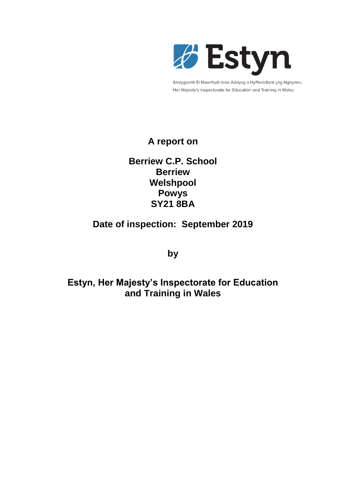

Arolygiaeth Ei Mawrhydi dros Addysg a Hyfforddiant yng Nghymru Her Majesty's Inspectorate for Education and Training in Wales

# **A report on**

# **Berriew C.P. School Berriew Welshpool Powys SY21 8BA**

# **Date of inspection: September 2019**

**by**

# **Estyn, Her Majesty's Inspectorate for Education and Training in Wales**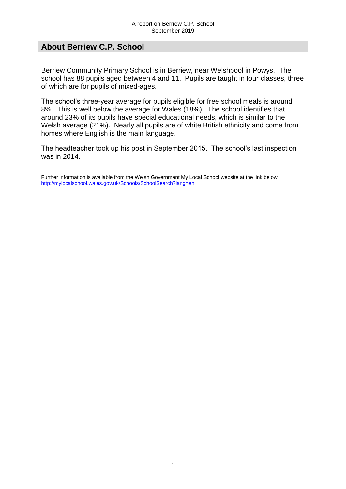## **About Berriew C.P. School**

Berriew Community Primary School is in Berriew, near Welshpool in Powys. The school has 88 pupils aged between 4 and 11. Pupils are taught in four classes, three of which are for pupils of mixed-ages.

The school's three-year average for pupils eligible for free school meals is around 8%. This is well below the average for Wales (18%). The school identifies that around 23% of its pupils have special educational needs, which is similar to the Welsh average (21%). Nearly all pupils are of white British ethnicity and come from homes where English is the main language.

The headteacher took up his post in September 2015. The school's last inspection was in 2014.

Further information is available from the Welsh Government My Local School website at the link below. <http://mylocalschool.wales.gov.uk/Schools/SchoolSearch?lang=en>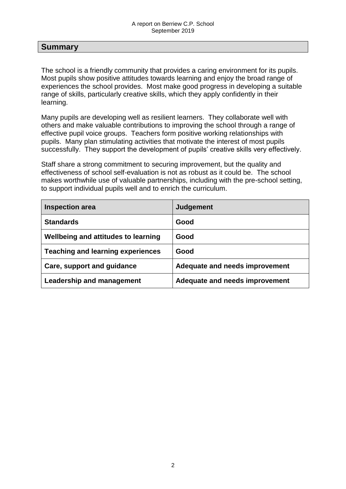### **Summary**

The school is a friendly community that provides a caring environment for its pupils. Most pupils show positive attitudes towards learning and enjoy the broad range of experiences the school provides. Most make good progress in developing a suitable range of skills, particularly creative skills, which they apply confidently in their learning.

Many pupils are developing well as resilient learners. They collaborate well with others and make valuable contributions to improving the school through a range of effective pupil voice groups. Teachers form positive working relationships with pupils. Many plan stimulating activities that motivate the interest of most pupils successfully. They support the development of pupils' creative skills very effectively.

Staff share a strong commitment to securing improvement, but the quality and effectiveness of school self-evaluation is not as robust as it could be. The school makes worthwhile use of valuable partnerships, including with the pre-school setting, to support individual pupils well and to enrich the curriculum.

| <b>Inspection area</b>                   | <b>Judgement</b>               |
|------------------------------------------|--------------------------------|
| <b>Standards</b>                         | Good                           |
| Wellbeing and attitudes to learning      | Good                           |
| <b>Teaching and learning experiences</b> | Good                           |
| Care, support and guidance               | Adequate and needs improvement |
| Leadership and management                | Adequate and needs improvement |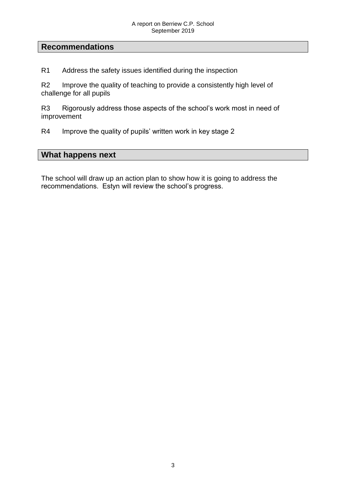### **Recommendations**

R1 Address the safety issues identified during the inspection

R2 Improve the quality of teaching to provide a consistently high level of challenge for all pupils

R3 Rigorously address those aspects of the school's work most in need of improvement

R4 Improve the quality of pupils' written work in key stage 2

### **What happens next**

The school will draw up an action plan to show how it is going to address the recommendations. Estyn will review the school's progress.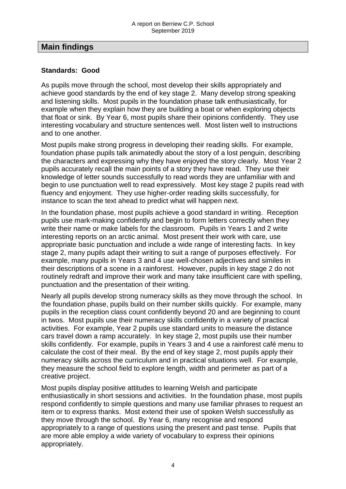### **Main findings**

#### **Standards: Good**

As pupils move through the school, most develop their skills appropriately and achieve good standards by the end of key stage 2. Many develop strong speaking and listening skills. Most pupils in the foundation phase talk enthusiastically, for example when they explain how they are building a boat or when exploring objects that float or sink. By Year 6, most pupils share their opinions confidently. They use interesting vocabulary and structure sentences well. Most listen well to instructions and to one another.

Most pupils make strong progress in developing their reading skills. For example, foundation phase pupils talk animatedly about the story of a lost penguin, describing the characters and expressing why they have enjoyed the story clearly. Most Year 2 pupils accurately recall the main points of a story they have read. They use their knowledge of letter sounds successfully to read words they are unfamiliar with and begin to use punctuation well to read expressively. Most key stage 2 pupils read with fluency and enjoyment. They use higher-order reading skills successfully, for instance to scan the text ahead to predict what will happen next.

In the foundation phase, most pupils achieve a good standard in writing. Reception pupils use mark-making confidently and begin to form letters correctly when they write their name or make labels for the classroom. Pupils in Years 1 and 2 write interesting reports on an arctic animal. Most present their work with care, use appropriate basic punctuation and include a wide range of interesting facts. In key stage 2, many pupils adapt their writing to suit a range of purposes effectively. For example, many pupils in Years 3 and 4 use well-chosen adjectives and similes in their descriptions of a scene in a rainforest. However, pupils in key stage 2 do not routinely redraft and improve their work and many take insufficient care with spelling, punctuation and the presentation of their writing.

Nearly all pupils develop strong numeracy skills as they move through the school. In the foundation phase, pupils build on their number skills quickly. For example, many pupils in the reception class count confidently beyond 20 and are beginning to count in twos. Most pupils use their numeracy skills confidently in a variety of practical activities. For example, Year 2 pupils use standard units to measure the distance cars travel down a ramp accurately. In key stage 2, most pupils use their number skills confidently. For example, pupils in Years 3 and 4 use a rainforest café menu to calculate the cost of their meal. By the end of key stage 2, most pupils apply their numeracy skills across the curriculum and in practical situations well. For example, they measure the school field to explore length, width and perimeter as part of a creative project.

Most pupils display positive attitudes to learning Welsh and participate enthusiastically in short sessions and activities. In the foundation phase, most pupils respond confidently to simple questions and many use familiar phrases to request an item or to express thanks. Most extend their use of spoken Welsh successfully as they move through the school. By Year 6, many recognise and respond appropriately to a range of questions using the present and past tense. Pupils that are more able employ a wide variety of vocabulary to express their opinions appropriately.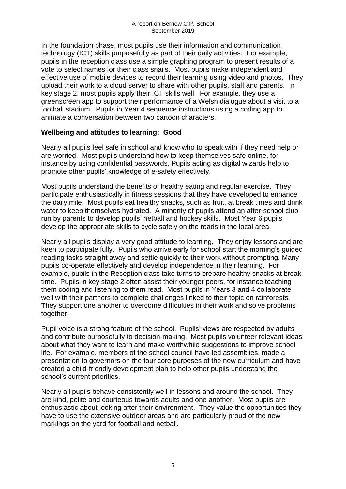In the foundation phase, most pupils use their information and communication technology (ICT) skills purposefully as part of their daily activities. For example, pupils in the reception class use a simple graphing program to present results of a vote to select names for their class snails. Most pupils make independent and effective use of mobile devices to record their learning using video and photos. They upload their work to a cloud server to share with other pupils, staff and parents. In key stage 2, most pupils apply their ICT skills well. For example, they use a green screen app to support their performance of a Welsh dialogue about a visit to a football stadium. Pupils in Year 4 sequence instructions using a coding app to animate a conversation between two cartoon characters.

### **Wellbeing and attitudes to learning: Good**

Nearly all pupils feel safe in school and know who to speak with if they need help or are worried. Most pupils understand how to keep themselves safe online, for instance by using confidential passwords. Pupils acting as digital wizards help to promote other pupils' knowledge of e-safety effectively.

Most pupils understand the benefits of healthy eating and regular exercise. They participate enthusiastically in fitness sessions that they have developed to enhance the daily mile. Most pupils eat healthy snacks, such as fruit, at break times and drink water to keep themselves hydrated. A minority of pupils attend an after-school club run by parents to develop pupils' netball and hockey skills. Most Year 6 pupils develop the appropriate skills to cycle safely on the roads in the local area.

Nearly all pupils display a very good attitude to learning. They enjoy lessons and are keen to participate fully. Pupils who arrive early for school start the morning's guided reading tasks straight away and settle quickly to their work without prompting. Many pupils co-operate effectively and develop independence in their learning. For example, pupils in the Reception class take turns to prepare healthy snacks at break time. Pupils in key stage 2 often assist their younger peers, for instance teaching them coding and listening to them read. Most pupils in Years 3 and 4 collaborate well with their partners to complete challenges linked to their topic on rainforests. They support one another to overcome difficulties in their work and solve problems together.

Pupil voice is a strong feature of the school. Pupils' views are respected by adults and contribute purposefully to decision-making. Most pupils volunteer relevant ideas about what they want to learn and make worthwhile suggestions to improve school life. For example, members of the school council have led assemblies, made a presentation to governors on the four core purposes of the new curriculum and have created a child-friendly development plan to help other pupils understand the school's current priorities.

Nearly all pupils behave consistently well in lessons and around the school. They are kind, polite and courteous towards adults and one another. Most pupils are enthusiastic about looking after their environment. They value the opportunities they have to use the extensive outdoor areas and are particularly proud of the new markings on the yard for football and netball.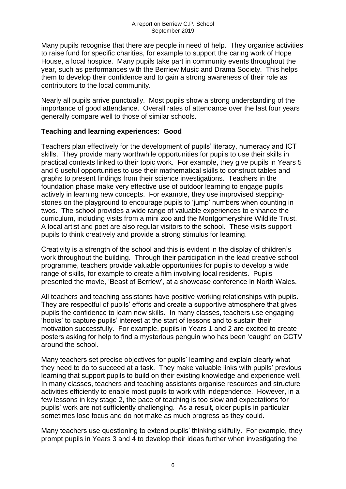Many pupils recognise that there are people in need of help. They organise activities to raise fund for specific charities, for example to support the caring work of Hope House, a local hospice. Many pupils take part in community events throughout the year, such as performances with the Berriew Music and Drama Society. This helps them to develop their confidence and to gain a strong awareness of their role as contributors to the local community.

Nearly all pupils arrive punctually. Most pupils show a strong understanding of the importance of good attendance. Overall rates of attendance over the last four years generally compare well to those of similar schools.

### **Teaching and learning experiences: Good**

Teachers plan effectively for the development of pupils' literacy, numeracy and ICT skills. They provide many worthwhile opportunities for pupils to use their skills in practical contexts linked to their topic work. For example, they give pupils in Years 5 and 6 useful opportunities to use their mathematical skills to construct tables and graphs to present findings from their science investigations. Teachers in the foundation phase make very effective use of outdoor learning to engage pupils actively in learning new concepts. For example, they use improvised steppingstones on the playground to encourage pupils to 'jump' numbers when counting in twos. The school provides a wide range of valuable experiences to enhance the curriculum, including visits from a mini zoo and the Montgomeryshire Wildlife Trust. A local artist and poet are also regular visitors to the school. These visits support pupils to think creatively and provide a strong stimulus for learning.

Creativity is a strength of the school and this is evident in the display of children's work throughout the building. Through their participation in the lead creative school programme, teachers provide valuable opportunities for pupils to develop a wide range of skills, for example to create a film involving local residents. Pupils presented the movie, 'Beast of Berriew', at a showcase conference in North Wales.

All teachers and teaching assistants have positive working relationships with pupils. They are respectful of pupils' efforts and create a supportive atmosphere that gives pupils the confidence to learn new skills. In many classes, teachers use engaging 'hooks' to capture pupils' interest at the start of lessons and to sustain their motivation successfully. For example, pupils in Years 1 and 2 are excited to create posters asking for help to find a mysterious penguin who has been 'caught' on CCTV around the school.

Many teachers set precise objectives for pupils' learning and explain clearly what they need to do to succeed at a task. They make valuable links with pupils' previous learning that support pupils to build on their existing knowledge and experience well. In many classes, teachers and teaching assistants organise resources and structure activities efficiently to enable most pupils to work with independence. However, in a few lessons in key stage 2, the pace of teaching is too slow and expectations for pupils' work are not sufficiently challenging. As a result, older pupils in particular sometimes lose focus and do not make as much progress as they could.

Many teachers use questioning to extend pupils' thinking skilfully. For example, they prompt pupils in Years 3 and 4 to develop their ideas further when investigating the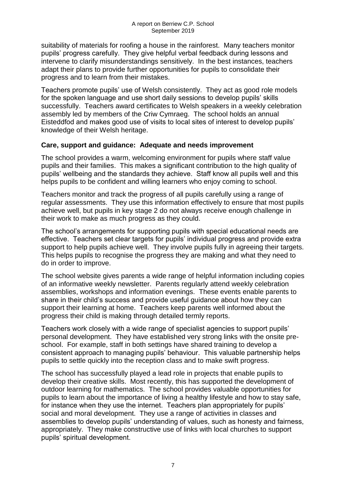suitability of materials for roofing a house in the rainforest. Many teachers monitor pupils' progress carefully. They give helpful verbal feedback during lessons and intervene to clarify misunderstandings sensitively. In the best instances, teachers adapt their plans to provide further opportunities for pupils to consolidate their progress and to learn from their mistakes.

Teachers promote pupils' use of Welsh consistently. They act as good role models for the spoken language and use short daily sessions to develop pupils' skills successfully. Teachers award certificates to Welsh speakers in a weekly celebration assembly led by members of the Criw Cymraeg. The school holds an annual Eisteddfod and makes good use of visits to local sites of interest to develop pupils' knowledge of their Welsh heritage.

### **Care, support and guidance: Adequate and needs improvement**

The school provides a warm, welcoming environment for pupils where staff value pupils and their families. This makes a significant contribution to the high quality of pupils' wellbeing and the standards they achieve. Staff know all pupils well and this helps pupils to be confident and willing learners who enjoy coming to school.

Teachers monitor and track the progress of all pupils carefully using a range of regular assessments. They use this information effectively to ensure that most pupils achieve well, but pupils in key stage 2 do not always receive enough challenge in their work to make as much progress as they could.

The school's arrangements for supporting pupils with special educational needs are effective. Teachers set clear targets for pupils' individual progress and provide extra support to help pupils achieve well. They involve pupils fully in agreeing their targets. This helps pupils to recognise the progress they are making and what they need to do in order to improve.

The school website gives parents a wide range of helpful information including copies of an informative weekly newsletter. Parents regularly attend weekly celebration assemblies, workshops and information evenings. These events enable parents to share in their child's success and provide useful guidance about how they can support their learning at home. Teachers keep parents well informed about the progress their child is making through detailed termly reports.

Teachers work closely with a wide range of specialist agencies to support pupils' personal development. They have established very strong links with the onsite preschool. For example, staff in both settings have shared training to develop a consistent approach to managing pupils' behaviour. This valuable partnership helps pupils to settle quickly into the reception class and to make swift progress.

The school has successfully played a lead role in projects that enable pupils to develop their creative skills. Most recently, this has supported the development of outdoor learning for mathematics. The school provides valuable opportunities for pupils to learn about the importance of living a healthy lifestyle and how to stay safe, for instance when they use the internet. Teachers plan appropriately for pupils' social and moral development. They use a range of activities in classes and assemblies to develop pupils' understanding of values, such as honesty and fairness, appropriately. They make constructive use of links with local churches to support pupils' spiritual development.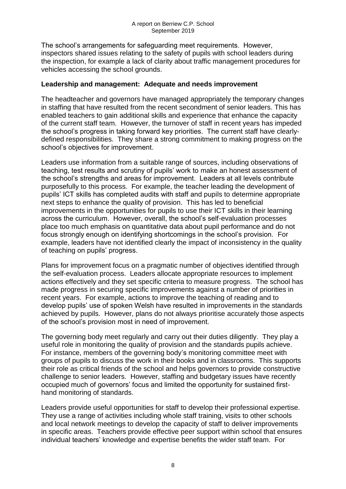The school's arrangements for safeguarding meet requirements. However, inspectors shared issues relating to the safety of pupils with school leaders during the inspection, for example a lack of clarity about traffic management procedures for vehicles accessing the school grounds.

#### **Leadership and management: Adequate and needs improvement**

The headteacher and governors have managed appropriately the temporary changes in staffing that have resulted from the recent secondment of senior leaders. This has enabled teachers to gain additional skills and experience that enhance the capacity of the current staff team. However, the turnover of staff in recent years has impeded the school's progress in taking forward key priorities. The current staff have clearlydefined responsibilities. They share a strong commitment to making progress on the school's objectives for improvement.

Leaders use information from a suitable range of sources, including observations of teaching, test results and scrutiny of pupils' work to make an honest assessment of the school's strengths and areas for improvement. Leaders at all levels contribute purposefully to this process. For example, the teacher leading the development of pupils' ICT skills has completed audits with staff and pupils to determine appropriate next steps to enhance the quality of provision. This has led to beneficial improvements in the opportunities for pupils to use their ICT skills in their learning across the curriculum. However, overall, the school's self-evaluation processes place too much emphasis on quantitative data about pupil performance and do not focus strongly enough on identifying shortcomings in the school's provision. For example, leaders have not identified clearly the impact of inconsistency in the quality of teaching on pupils' progress.

Plans for improvement focus on a pragmatic number of objectives identified through the self-evaluation process. Leaders allocate appropriate resources to implement actions effectively and they set specific criteria to measure progress. The school has made progress in securing specific improvements against a number of priorities in recent years. For example, actions to improve the teaching of reading and to develop pupils' use of spoken Welsh have resulted in improvements in the standards achieved by pupils. However, plans do not always prioritise accurately those aspects of the school's provision most in need of improvement.

The governing body meet regularly and carry out their duties diligently. They play a useful role in monitoring the quality of provision and the standards pupils achieve. For instance, members of the governing body's monitoring committee meet with groups of pupils to discuss the work in their books and in classrooms. This supports their role as critical friends of the school and helps governors to provide constructive challenge to senior leaders. However, staffing and budgetary issues have recently occupied much of governors' focus and limited the opportunity for sustained firsthand monitoring of standards.

Leaders provide useful opportunities for staff to develop their professional expertise. They use a range of activities including whole staff training, visits to other schools and local network meetings to develop the capacity of staff to deliver improvements in specific areas. Teachers provide effective peer support within school that ensures individual teachers' knowledge and expertise benefits the wider staff team. For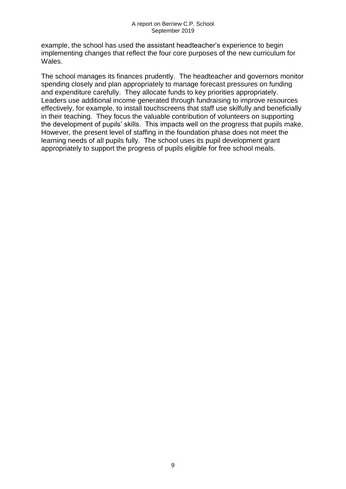example, the school has used the assistant headteacher's experience to begin implementing changes that reflect the four core purposes of the new curriculum for Wales.

The school manages its finances prudently. The headteacher and governors monitor spending closely and plan appropriately to manage forecast pressures on funding and expenditure carefully. They allocate funds to key priorities appropriately. Leaders use additional income generated through fundraising to improve resources effectively, for example, to install touchscreens that staff use skilfully and beneficially in their teaching. They focus the valuable contribution of volunteers on supporting the development of pupils' skills. This impacts well on the progress that pupils make. However, the present level of staffing in the foundation phase does not meet the learning needs of all pupils fully. The school uses its pupil development grant appropriately to support the progress of pupils eligible for free school meals.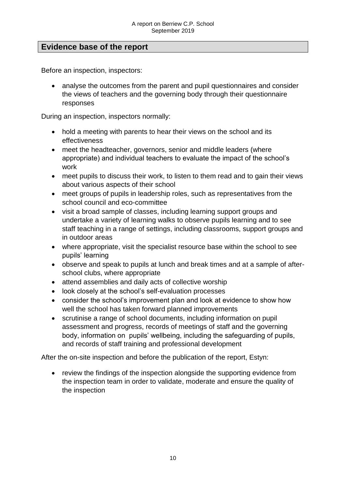# **Evidence base of the report**

Before an inspection, inspectors:

• analyse the outcomes from the parent and pupil questionnaires and consider the views of teachers and the governing body through their questionnaire responses

During an inspection, inspectors normally:

- hold a meeting with parents to hear their views on the school and its effectiveness
- meet the headteacher, governors, senior and middle leaders (where appropriate) and individual teachers to evaluate the impact of the school's work
- meet pupils to discuss their work, to listen to them read and to gain their views about various aspects of their school
- meet groups of pupils in leadership roles, such as representatives from the school council and eco-committee
- visit a broad sample of classes, including learning support groups and undertake a variety of learning walks to observe pupils learning and to see staff teaching in a range of settings, including classrooms, support groups and in outdoor areas
- where appropriate, visit the specialist resource base within the school to see pupils' learning
- observe and speak to pupils at lunch and break times and at a sample of afterschool clubs, where appropriate
- attend assemblies and daily acts of collective worship
- look closely at the school's self-evaluation processes
- consider the school's improvement plan and look at evidence to show how well the school has taken forward planned improvements
- scrutinise a range of school documents, including information on pupil assessment and progress, records of meetings of staff and the governing body, information on pupils' wellbeing, including the safeguarding of pupils, and records of staff training and professional development

After the on-site inspection and before the publication of the report, Estyn:

 review the findings of the inspection alongside the supporting evidence from the inspection team in order to validate, moderate and ensure the quality of the inspection